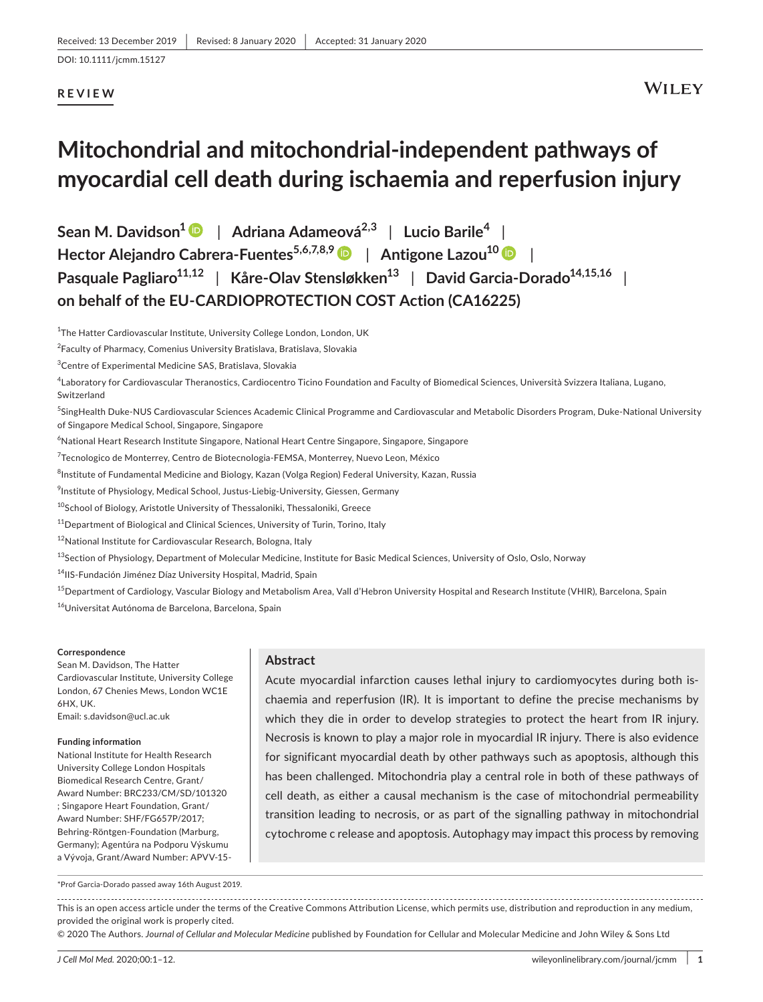#### **REVIEW**

# **Mitochondrial and mitochondrial-independent pathways of myocardial cell death during ischaemia and reperfusion injury**

**Sean M. Davidson[1](https://orcid.org/0000-0001-5182-4980)** | **Adriana Adameová2,3** | **Lucio Barile<sup>4</sup>** | **Hector Alejandro Cabrera-Fuentes5,6,7,8,[9](https://orcid.org/0000-0002-8502-7098)** | **Antigone Lazou10** | **Pasquale Pagliaro**<sup>11,12</sup> | Kåre-Olav Stensløkken<sup>13</sup> | David Garcia-Dorado<sup>14,15,16</sup> **on behalf of the EU-CARDIOPROTECTION COST Action (CA16225)**

<sup>1</sup>The Hatter Cardiovascular Institute, University College London, London, UK

<sup>2</sup>Faculty of Pharmacy, Comenius University Bratislava, Bratislava, Slovakia

3 Centre of Experimental Medicine SAS, Bratislava, Slovakia

4 Laboratory for Cardiovascular Theranostics, Cardiocentro Ticino Foundation and Faculty of Biomedical Sciences, Università Svizzera Italiana, Lugano, Switzerland

5 SingHealth Duke-NUS Cardiovascular Sciences Academic Clinical Programme and Cardiovascular and Metabolic Disorders Program, Duke-National University of Singapore Medical School, Singapore, Singapore

 $^6$ National Heart Research Institute Singapore, National Heart Centre Singapore, Singapore, Singapore

<sup>7</sup>Tecnologico de Monterrey, Centro de Biotecnologia-FEMSA, Monterrey, Nuevo Leon, México

<sup>8</sup>Institute of Fundamental Medicine and Biology, Kazan (Volga Region) Federal University, Kazan, Russia

 $^9$ Institute of Physiology, Medical School, Justus-Liebig-University, Giessen, Germany

10School of Biology, Aristotle University of Thessaloniki, Thessaloniki, Greece

<sup>11</sup>Department of Biological and Clinical Sciences, University of Turin, Torino, Italy

<sup>12</sup>National Institute for Cardiovascular Research, Bologna, Italy

<sup>13</sup>Section of Physiology, Department of Molecular Medicine, Institute for Basic Medical Sciences, University of Oslo, Oslo, Norway

<sup>14</sup>IIS-Fundación Jiménez Díaz University Hospital, Madrid, Spain

<sup>15</sup>Department of Cardiology, Vascular Biology and Metabolism Area, Vall d'Hebron University Hospital and Research Institute (VHIR), Barcelona, Spain <sup>16</sup>Universitat Autónoma de Barcelona, Barcelona, Spain

#### **Correspondence**

Sean M. Davidson, The Hatter Cardiovascular Institute, University College London, 67 Chenies Mews, London WC1E 6HX, UK. Email: [s.davidson@ucl.ac.uk](mailto:s.davidson@ucl.ac.uk)

#### **Funding information**

National Institute for Health Research University College London Hospitals Biomedical Research Centre, Grant/ Award Number: BRC233/CM/SD/101320 ; Singapore Heart Foundation, Grant/ Award Number: SHF/FG657P/2017; Behring-Röntgen-Foundation (Marburg, Germany); Agentúra na Podporu Výskumu a Vývoja, Grant/Award Number: APVV-15-

\*Prof Garcia-Dorado passed away 16th August 2019.

#### **Abstract**

Acute myocardial infarction causes lethal injury to cardiomyocytes during both ischaemia and reperfusion (IR). It is important to define the precise mechanisms by which they die in order to develop strategies to protect the heart from IR injury. Necrosis is known to play a major role in myocardial IR injury. There is also evidence for significant myocardial death by other pathways such as apoptosis, although this has been challenged. Mitochondria play a central role in both of these pathways of cell death, as either a causal mechanism is the case of mitochondrial permeability transition leading to necrosis, or as part of the signalling pathway in mitochondrial cytochrome c release and apoptosis. Autophagy may impact this process by removing

This is an open access article under the terms of the [Creative Commons Attribution](http://creativecommons.org/licenses/by/4.0/) License, which permits use, distribution and reproduction in any medium, provided the original work is properly cited.

© 2020 The Authors. *Journal of Cellular and Molecular Medicine* published by Foundation for Cellular and Molecular Medicine and John Wiley & Sons Ltd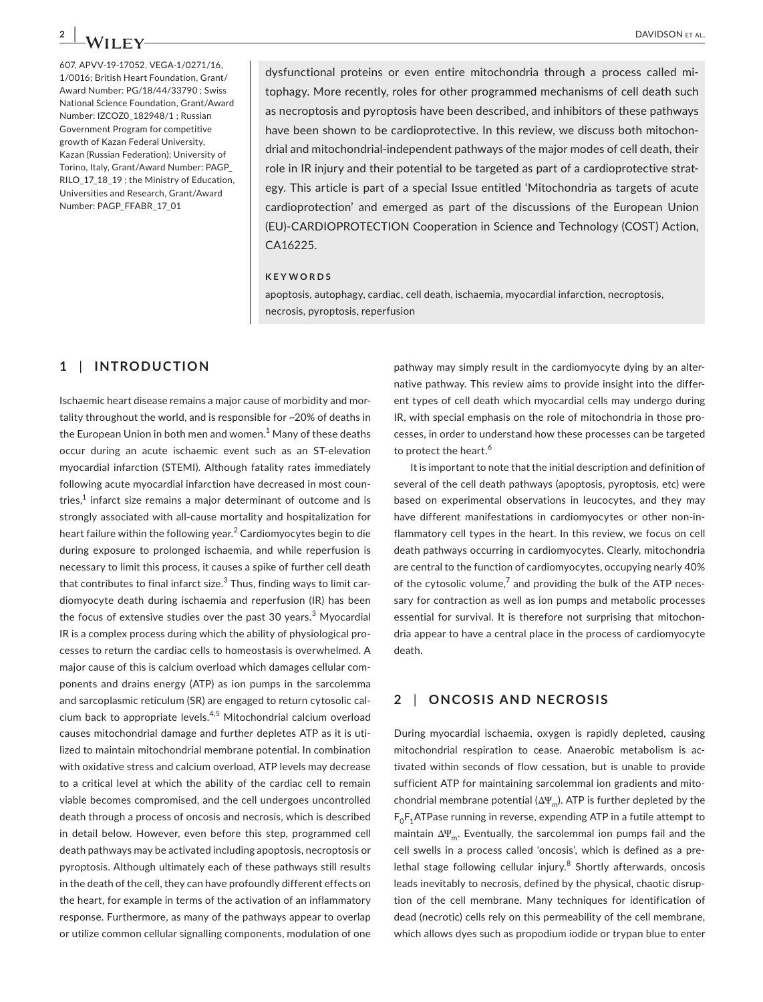607, APVV-19-17052, VEGA-1/0271/16, 1/0016; British Heart Foundation, Grant/ Award Number: PG/18/44/33790 ; Swiss National Science Foundation, Grant/Award Number: IZCOZ0\_182948/1 ; Russian Government Program for competitive growth of Kazan Federal University, Kazan (Russian Federation); University of Torino, Italy, Grant/Award Number: PAGP\_ RILO\_17\_18\_19 ; the Ministry of Education, Universities and Research, Grant/Award Number: PAGP\_FFABR\_17\_01

dysfunctional proteins or even entire mitochondria through a process called mitophagy. More recently, roles for other programmed mechanisms of cell death such as necroptosis and pyroptosis have been described, and inhibitors of these pathways have been shown to be cardioprotective. In this review, we discuss both mitochondrial and mitochondrial-independent pathways of the major modes of cell death, their role in IR injury and their potential to be targeted as part of a cardioprotective strategy. This article is part of a special Issue entitled 'Mitochondria as targets of acute cardioprotection' and emerged as part of the discussions of the European Union (EU)-CARDIOPROTECTION Cooperation in Science and Technology (COST) Action, CA16225.

#### **KEYWORDS**

apoptosis, autophagy, cardiac, cell death, ischaemia, myocardial infarction, necroptosis, necrosis, pyroptosis, reperfusion

### **1** | **INTRODUCTION**

Ischaemic heart disease remains a major cause of morbidity and mortality throughout the world, and is responsible for ~20% of deaths in the European Union in both men and women.<sup>1</sup> Many of these deaths occur during an acute ischaemic event such as an ST-elevation myocardial infarction (STEMI). Although fatality rates immediately following acute myocardial infarction have decreased in most countries, $^1$  infarct size remains a major determinant of outcome and is strongly associated with all-cause mortality and hospitalization for heart failure within the following year. $^2$  Cardiomyocytes begin to die during exposure to prolonged ischaemia, and while reperfusion is necessary to limit this process, it causes a spike of further cell death that contributes to final infarct size. $^3$  Thus, finding ways to limit cardiomyocyte death during ischaemia and reperfusion (IR) has been the focus of extensive studies over the past 30 years.<sup>3</sup> Myocardial IR is a complex process during which the ability of physiological processes to return the cardiac cells to homeostasis is overwhelmed. A major cause of this is calcium overload which damages cellular components and drains energy (ATP) as ion pumps in the sarcolemma and sarcoplasmic reticulum (SR) are engaged to return cytosolic calcium back to appropriate levels.4,5 Mitochondrial calcium overload causes mitochondrial damage and further depletes ATP as it is utilized to maintain mitochondrial membrane potential. In combination with oxidative stress and calcium overload, ATP levels may decrease to a critical level at which the ability of the cardiac cell to remain viable becomes compromised, and the cell undergoes uncontrolled death through a process of oncosis and necrosis, which is described in detail below. However, even before this step, programmed cell death pathways may be activated including apoptosis, necroptosis or pyroptosis. Although ultimately each of these pathways still results in the death of the cell, they can have profoundly different effects on the heart, for example in terms of the activation of an inflammatory response. Furthermore, as many of the pathways appear to overlap or utilize common cellular signalling components, modulation of one

pathway may simply result in the cardiomyocyte dying by an alternative pathway. This review aims to provide insight into the different types of cell death which myocardial cells may undergo during IR, with special emphasis on the role of mitochondria in those processes, in order to understand how these processes can be targeted to protect the heart.<sup>6</sup>

It is important to note that the initial description and definition of several of the cell death pathways (apoptosis, pyroptosis, etc) were based on experimental observations in leucocytes, and they may have different manifestations in cardiomyocytes or other non-inflammatory cell types in the heart. In this review, we focus on cell death pathways occurring in cardiomyocytes. Clearly, mitochondria are central to the function of cardiomyocytes, occupying nearly 40% of the cytosolic volume, $^7$  and providing the bulk of the ATP necessary for contraction as well as ion pumps and metabolic processes essential for survival. It is therefore not surprising that mitochondria appear to have a central place in the process of cardiomyocyte death.

#### **2** | **ONCOSIS AND NECROSIS**

During myocardial ischaemia, oxygen is rapidly depleted, causing mitochondrial respiration to cease. Anaerobic metabolism is activated within seconds of flow cessation, but is unable to provide sufficient ATP for maintaining sarcolemmal ion gradients and mitochondrial membrane potential ( $\Delta \Psi_{m}$ ). ATP is further depleted by the  $F_0F_1$ ATPase running in reverse, expending ATP in a futile attempt to maintain  $\Delta \Psi_{\rm m}$ . Eventually, the sarcolemmal ion pumps fail and the cell swells in a process called 'oncosis', which is defined as a prelethal stage following cellular injury.<sup>8</sup> Shortly afterwards, oncosis leads inevitably to necrosis, defined by the physical, chaotic disruption of the cell membrane. Many techniques for identification of dead (necrotic) cells rely on this permeability of the cell membrane, which allows dyes such as propodium iodide or trypan blue to enter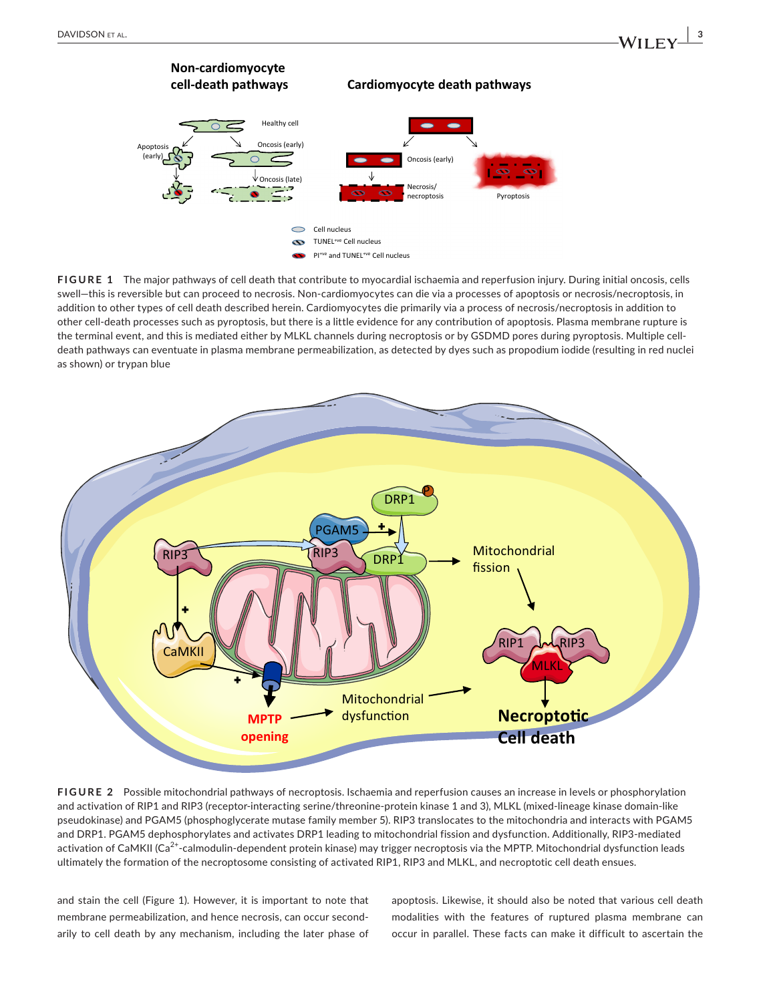

**FIGURE 1** The major pathways of cell death that contribute to myocardial ischaemia and reperfusion injury. During initial oncosis, cells swell—this is reversible but can proceed to necrosis. Non-cardiomyocytes can die via a processes of apoptosis or necrosis/necroptosis, in addition to other types of cell death described herein. Cardiomyocytes die primarily via a process of necrosis/necroptosis in addition to other cell-death processes such as pyroptosis, but there is a little evidence for any contribution of apoptosis. Plasma membrane rupture is the terminal event, and this is mediated either by MLKL channels during necroptosis or by GSDMD pores during pyroptosis. Multiple celldeath pathways can eventuate in plasma membrane permeabilization, as detected by dyes such as propodium iodide (resulting in red nuclei as shown) or trypan blue



**FIGURE 2** Possible mitochondrial pathways of necroptosis. Ischaemia and reperfusion causes an increase in levels or phosphorylation and activation of RIP1 and RIP3 (receptor-interacting serine/threonine-protein kinase 1 and 3), MLKL (mixed-lineage kinase domain-like pseudokinase) and PGAM5 (phosphoglycerate mutase family member 5). RIP3 translocates to the mitochondria and interacts with PGAM5 and DRP1. PGAM5 dephosphorylates and activates DRP1 leading to mitochondrial fission and dysfunction. Additionally, RIP3-mediated activation of CaMKII (Ca<sup>2+</sup>-calmodulin-dependent protein kinase) may trigger necroptosis via the MPTP. Mitochondrial dysfunction leads ultimately the formation of the necroptosome consisting of activated RIP1, RIP3 and MLKL, and necroptotic cell death ensues.

and stain the cell (Figure 1). However, it is important to note that membrane permeabilization, and hence necrosis, can occur secondarily to cell death by any mechanism, including the later phase of

apoptosis. Likewise, it should also be noted that various cell death modalities with the features of ruptured plasma membrane can occur in parallel. These facts can make it difficult to ascertain the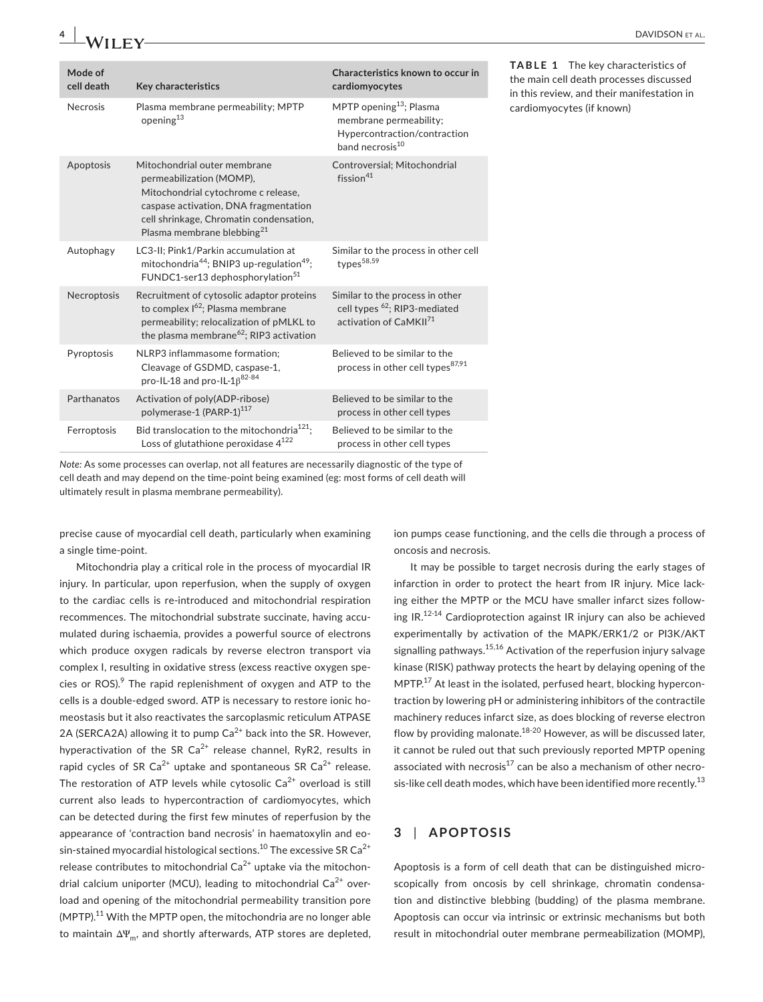| Mode of<br>cell death | Key characteristics                                                                                                                                                                                                           | Characteristics known to occur in<br>cardiomyocytes                                                                          |
|-----------------------|-------------------------------------------------------------------------------------------------------------------------------------------------------------------------------------------------------------------------------|------------------------------------------------------------------------------------------------------------------------------|
| <b>Necrosis</b>       | Plasma membrane permeability; MPTP<br>opening <sup>13</sup>                                                                                                                                                                   | MPTP opening <sup>13</sup> ; Plasma<br>membrane permeability;<br>Hypercontraction/contraction<br>band necrosis <sup>10</sup> |
| Apoptosis             | Mitochondrial outer membrane<br>permeabilization (MOMP),<br>Mitochondrial cytochrome c release,<br>caspase activation, DNA fragmentation<br>cell shrinkage, Chromatin condensation,<br>Plasma membrane blebbing <sup>21</sup> | Controversial; Mitochondrial<br>fission $41$                                                                                 |
| Autophagy             | LC3-II; Pink1/Parkin accumulation at<br>mitochondria <sup>44</sup> ; BNIP3 up-regulation <sup>49</sup> ;<br>FUNDC1-ser13 dephosphorylation <sup>51</sup>                                                                      | Similar to the process in other cell<br>types <sup>58,59</sup>                                                               |
| Necroptosis           | Recruitment of cytosolic adaptor proteins<br>to complex $I^{62}$ ; Plasma membrane<br>permeability; relocalization of pMLKL to<br>the plasma membrane <sup>62</sup> ; RIP3 activation                                         | Similar to the process in other<br>cell types <sup>62</sup> ; RIP3-mediated<br>activation of CaMKII <sup>71</sup>            |
| Pyroptosis            | NLRP3 inflammasome formation:<br>Cleavage of GSDMD, caspase-1,<br>pro-IL-18 and pro-IL-1 $\beta^{82-84}$                                                                                                                      | Believed to be similar to the<br>process in other cell types <sup>87,91</sup>                                                |
| Parthanatos           | Activation of poly(ADP-ribose)<br>polymerase-1 (PARP-1) <sup>117</sup>                                                                                                                                                        | Believed to be similar to the<br>process in other cell types                                                                 |
| Ferroptosis           | Bid translocation to the mitochondria <sup>121</sup> ;<br>Loss of glutathione peroxidase $4^{122}$                                                                                                                            | Believed to be similar to the<br>process in other cell types                                                                 |

**TABLE 1** The key characteristics of the main cell death processes discussed in this review, and their manifestation in cardiomyocytes (if known)

*Note:* As some processes can overlap, not all features are necessarily diagnostic of the type of cell death and may depend on the time-point being examined (eg: most forms of cell death will ultimately result in plasma membrane permeability).

precise cause of myocardial cell death, particularly when examining a single time-point.

Mitochondria play a critical role in the process of myocardial IR injury. In particular, upon reperfusion, when the supply of oxygen to the cardiac cells is re-introduced and mitochondrial respiration recommences. The mitochondrial substrate succinate, having accumulated during ischaemia, provides a powerful source of electrons which produce oxygen radicals by reverse electron transport via complex I, resulting in oxidative stress (excess reactive oxygen species or ROS).<sup>9</sup> The rapid replenishment of oxygen and ATP to the cells is a double-edged sword. ATP is necessary to restore ionic homeostasis but it also reactivates the sarcoplasmic reticulum ATPASE 2A (SERCA2A) allowing it to pump  $Ca^{2+}$  back into the SR. However, hyperactivation of the SR Ca<sup>2+</sup> release channel, RyR2, results in rapid cycles of SR  $Ca^{2+}$  uptake and spontaneous SR  $Ca^{2+}$  release. The restoration of ATP levels while cytosolic  $Ca^{2+}$  overload is still current also leads to hypercontraction of cardiomyocytes, which can be detected during the first few minutes of reperfusion by the appearance of 'contraction band necrosis' in haematoxylin and eosin-stained myocardial histological sections.<sup>10</sup> The excessive SR Ca<sup>2+</sup> release contributes to mitochondrial  $Ca^{2+}$  uptake via the mitochondrial calcium uniporter (MCU), leading to mitochondrial  $Ca<sup>2+</sup>$  overload and opening of the mitochondrial permeability transition pore (MPTP).<sup>11</sup> With the MPTP open, the mitochondria are no longer able to maintain  $\Delta \Psi_m$ , and shortly afterwards, ATP stores are depleted,

ion pumps cease functioning, and the cells die through a process of oncosis and necrosis.

It may be possible to target necrosis during the early stages of infarction in order to protect the heart from IR injury. Mice lacking either the MPTP or the MCU have smaller infarct sizes following IR.12-14 Cardioprotection against IR injury can also be achieved experimentally by activation of the MAPK/ERK1/2 or PI3K/AKT signalling pathways.<sup>15,16</sup> Activation of the reperfusion injury salvage kinase (RISK) pathway protects the heart by delaying opening of the MPTP. $17$  At least in the isolated, perfused heart, blocking hypercontraction by lowering pH or administering inhibitors of the contractile machinery reduces infarct size, as does blocking of reverse electron flow by providing malonate. $18-20$  However, as will be discussed later, it cannot be ruled out that such previously reported MPTP opening associated with necrosis<sup>17</sup> can be also a mechanism of other necrosis-like cell death modes, which have been identified more recently.<sup>13</sup>

#### **3** | **APOPTOSIS**

Apoptosis is a form of cell death that can be distinguished microscopically from oncosis by cell shrinkage, chromatin condensation and distinctive blebbing (budding) of the plasma membrane. Apoptosis can occur via intrinsic or extrinsic mechanisms but both result in mitochondrial outer membrane permeabilization (MOMP),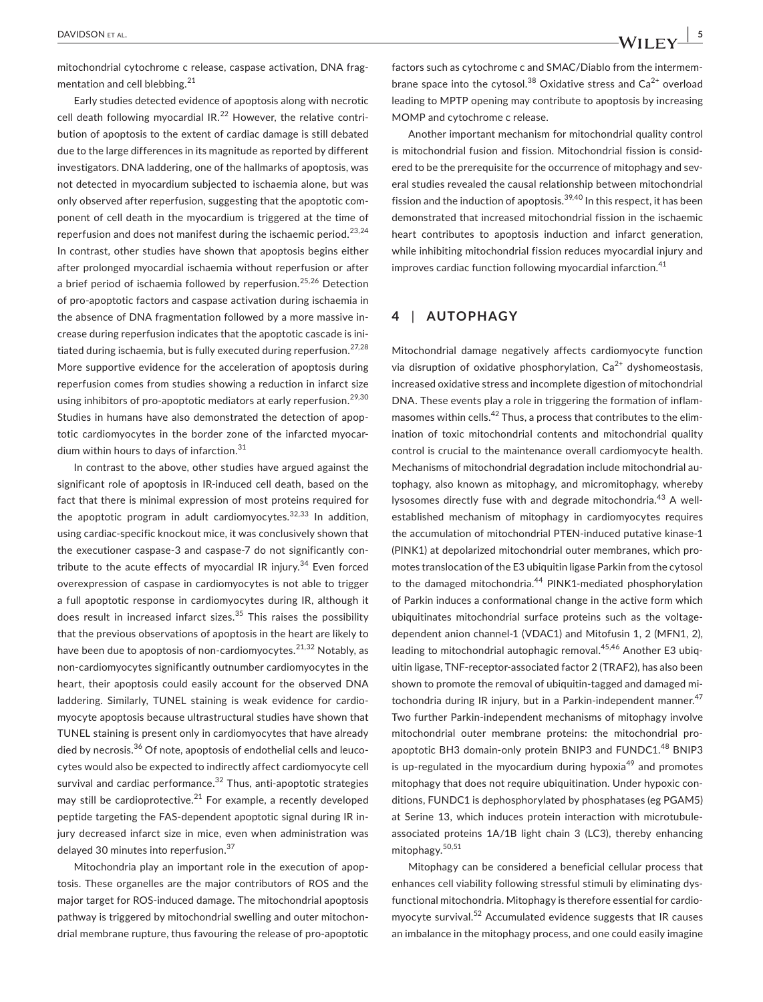mitochondrial cytochrome c release, caspase activation, DNA fragmentation and cell blebbing.<sup>21</sup>

Early studies detected evidence of apoptosis along with necrotic cell death following myocardial  $IR^{22}$  However, the relative contribution of apoptosis to the extent of cardiac damage is still debated due to the large differences in its magnitude as reported by different investigators. DNA laddering, one of the hallmarks of apoptosis, was not detected in myocardium subjected to ischaemia alone, but was only observed after reperfusion, suggesting that the apoptotic component of cell death in the myocardium is triggered at the time of reperfusion and does not manifest during the ischaemic period.<sup>23,24</sup> In contrast, other studies have shown that apoptosis begins either after prolonged myocardial ischaemia without reperfusion or after a brief period of ischaemia followed by reperfusion.<sup>25,26</sup> Detection of pro-apoptotic factors and caspase activation during ischaemia in the absence of DNA fragmentation followed by a more massive increase during reperfusion indicates that the apoptotic cascade is initiated during ischaemia, but is fully executed during reperfusion.<sup>27,28</sup> More supportive evidence for the acceleration of apoptosis during reperfusion comes from studies showing a reduction in infarct size using inhibitors of pro-apoptotic mediators at early reperfusion.<sup>29,30</sup> Studies in humans have also demonstrated the detection of apoptotic cardiomyocytes in the border zone of the infarcted myocardium within hours to days of infarction.<sup>31</sup>

In contrast to the above, other studies have argued against the significant role of apoptosis in IR-induced cell death, based on the fact that there is minimal expression of most proteins required for the apoptotic program in adult cardiomyocytes. $32,33$  In addition, using cardiac-specific knockout mice, it was conclusively shown that the executioner caspase-3 and caspase-7 do not significantly contribute to the acute effects of myocardial IR injury. $34$  Even forced overexpression of caspase in cardiomyocytes is not able to trigger a full apoptotic response in cardiomyocytes during IR, although it does result in increased infarct sizes.<sup>35</sup> This raises the possibility that the previous observations of apoptosis in the heart are likely to have been due to apoptosis of non-cardiomyocytes.  $21,32$  Notably, as non-cardiomyocytes significantly outnumber cardiomyocytes in the heart, their apoptosis could easily account for the observed DNA laddering. Similarly, TUNEL staining is weak evidence for cardiomyocyte apoptosis because ultrastructural studies have shown that TUNEL staining is present only in cardiomyocytes that have already died by necrosis.<sup>36</sup> Of note, apoptosis of endothelial cells and leucocytes would also be expected to indirectly affect cardiomyocyte cell survival and cardiac performance.<sup>32</sup> Thus, anti-apoptotic strategies may still be cardioprotective. $21$  For example, a recently developed peptide targeting the FAS-dependent apoptotic signal during IR injury decreased infarct size in mice, even when administration was delayed 30 minutes into reperfusion.<sup>37</sup>

Mitochondria play an important role in the execution of apoptosis. These organelles are the major contributors of ROS and the major target for ROS-induced damage. The mitochondrial apoptosis pathway is triggered by mitochondrial swelling and outer mitochondrial membrane rupture, thus favouring the release of pro-apoptotic

 **DAVIDSON** ET AL. **1997 1997 1997 1998 1999 1999 1999 1999 1999 1999 1999 1999 1999 1999 1999 1999 1999 1999 1999 1999 1999 1999 1999 1999 1999 1999 1999 1999 1999**

factors such as cytochrome c and SMAC/Diablo from the intermembrane space into the cytosol.<sup>38</sup> Oxidative stress and  $Ca<sup>2+</sup>$  overload leading to MPTP opening may contribute to apoptosis by increasing MOMP and cytochrome c release.

Another important mechanism for mitochondrial quality control is mitochondrial fusion and fission. Mitochondrial fission is considered to be the prerequisite for the occurrence of mitophagy and several studies revealed the causal relationship between mitochondrial fission and the induction of apoptosis.<sup>39,40</sup> In this respect, it has been demonstrated that increased mitochondrial fission in the ischaemic heart contributes to apoptosis induction and infarct generation, while inhibiting mitochondrial fission reduces myocardial injury and improves cardiac function following myocardial infarction. $41$ 

#### **4** | **AUTOPHAGY**

Mitochondrial damage negatively affects cardiomyocyte function via disruption of oxidative phosphorylation,  $Ca^{2+}$  dyshomeostasis, increased oxidative stress and incomplete digestion of mitochondrial DNA. These events play a role in triggering the formation of inflammasomes within cells.<sup>42</sup> Thus, a process that contributes to the elimination of toxic mitochondrial contents and mitochondrial quality control is crucial to the maintenance overall cardiomyocyte health. Mechanisms of mitochondrial degradation include mitochondrial autophagy, also known as mitophagy, and micromitophagy, whereby lysosomes directly fuse with and degrade mitochondria.<sup>43</sup> A wellestablished mechanism of mitophagy in cardiomyocytes requires the accumulation of mitochondrial PTEN-induced putative kinase-1 (PINK1) at depolarized mitochondrial outer membranes, which promotes translocation of the E3 ubiquitin ligase Parkin from the cytosol to the damaged mitochondria.<sup>44</sup> PINK1-mediated phosphorylation of Parkin induces a conformational change in the active form which ubiquitinates mitochondrial surface proteins such as the voltagedependent anion channel-1 (VDAC1) and Mitofusin 1, 2 (MFN1, 2), leading to mitochondrial autophagic removal.<sup>45,46</sup> Another E3 ubiquitin ligase, TNF-receptor-associated factor 2 (TRAF2), has also been shown to promote the removal of ubiquitin-tagged and damaged mitochondria during IR injury, but in a Parkin-independent manner.<sup>47</sup> Two further Parkin-independent mechanisms of mitophagy involve mitochondrial outer membrane proteins: the mitochondrial proapoptotic BH3 domain-only protein BNIP3 and FUNDC1.<sup>48</sup> BNIP3 is up-regulated in the myocardium during hypoxia<sup>49</sup> and promotes mitophagy that does not require ubiquitination. Under hypoxic conditions, FUNDC1 is dephosphorylated by phosphatases (eg PGAM5) at Serine 13, which induces protein interaction with microtubuleassociated proteins 1A/1B light chain 3 (LC3), thereby enhancing mitophagy.<sup>50,51</sup>

Mitophagy can be considered a beneficial cellular process that enhances cell viability following stressful stimuli by eliminating dysfunctional mitochondria. Mitophagy is therefore essential for cardiomyocyte survival.<sup>52</sup> Accumulated evidence suggests that IR causes an imbalance in the mitophagy process, and one could easily imagine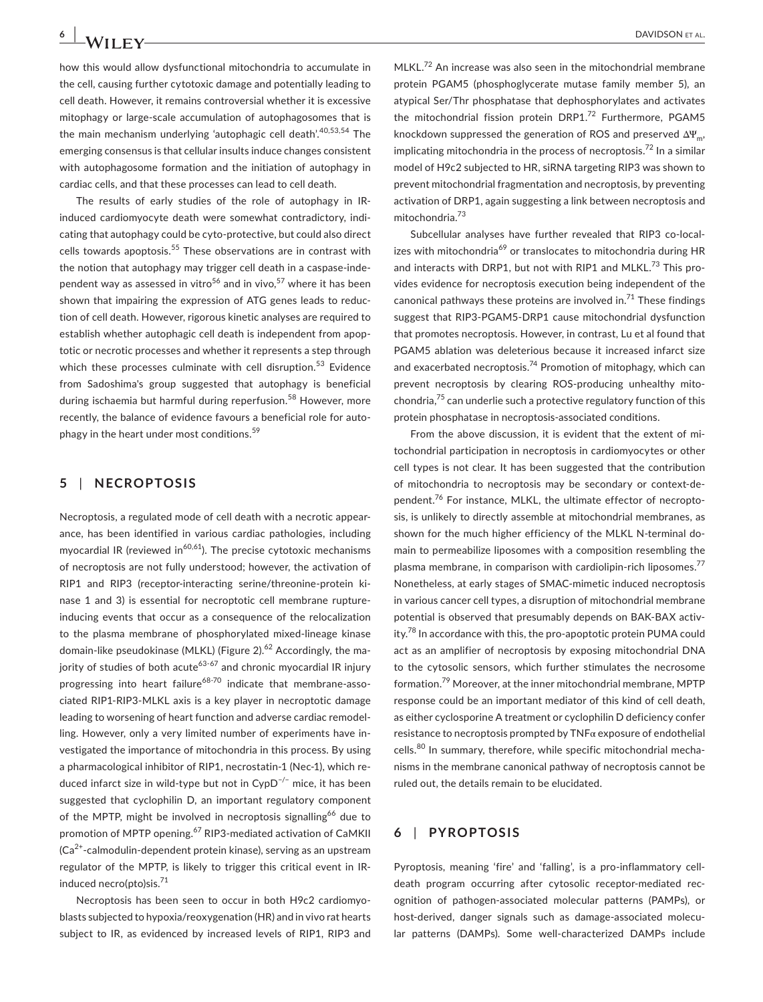how this would allow dysfunctional mitochondria to accumulate in the cell, causing further cytotoxic damage and potentially leading to cell death. However, it remains controversial whether it is excessive mitophagy or large-scale accumulation of autophagosomes that is the main mechanism underlying 'autophagic cell death'.<sup>40,53,54</sup> The emerging consensus is that cellular insults induce changes consistent with autophagosome formation and the initiation of autophagy in cardiac cells, and that these processes can lead to cell death.

The results of early studies of the role of autophagy in IRinduced cardiomyocyte death were somewhat contradictory, indicating that autophagy could be cyto-protective, but could also direct cells towards apoptosis.<sup>55</sup> These observations are in contrast with the notion that autophagy may trigger cell death in a caspase-independent way as assessed in vitro<sup>56</sup> and in vivo,<sup>57</sup> where it has been shown that impairing the expression of ATG genes leads to reduction of cell death. However, rigorous kinetic analyses are required to establish whether autophagic cell death is independent from apoptotic or necrotic processes and whether it represents a step through which these processes culminate with cell disruption.<sup>53</sup> Evidence from Sadoshima's group suggested that autophagy is beneficial during ischaemia but harmful during reperfusion.<sup>58</sup> However, more recently, the balance of evidence favours a beneficial role for autophagy in the heart under most conditions.<sup>59</sup>

#### **5** | **NECROPTOSIS**

Necroptosis, a regulated mode of cell death with a necrotic appearance, has been identified in various cardiac pathologies, including myocardial IR (reviewed in $^{60,61}$ ). The precise cytotoxic mechanisms of necroptosis are not fully understood; however, the activation of RIP1 and RIP3 (receptor-interacting serine/threonine-protein kinase 1 and 3) is essential for necroptotic cell membrane ruptureinducing events that occur as a consequence of the relocalization to the plasma membrane of phosphorylated mixed-lineage kinase domain-like pseudokinase (MLKL) (Figure 2).<sup>62</sup> Accordingly, the majority of studies of both acute<sup>63-67</sup> and chronic myocardial IR injury progressing into heart failure<sup>68-70</sup> indicate that membrane-associated RIP1-RIP3-MLKL axis is a key player in necroptotic damage leading to worsening of heart function and adverse cardiac remodelling. However, only a very limited number of experiments have investigated the importance of mitochondria in this process. By using a pharmacological inhibitor of RIP1, necrostatin-1 (Nec-1), which reduced infarct size in wild-type but not in CypD−/− mice, it has been suggested that cyclophilin D, an important regulatory component of the MPTP, might be involved in necroptosis signalling<sup>66</sup> due to promotion of MPTP opening.<sup>67</sup> RIP3-mediated activation of CaMKII  $(Ca<sup>2+</sup>-calmodulin-dependent protein kinase)$ , serving as an upstream regulator of the MPTP, is likely to trigger this critical event in IRinduced necro(pto)sis. $^{71}$ 

Necroptosis has been seen to occur in both H9c2 cardiomyoblasts subjected to hypoxia/reoxygenation (HR) and in vivo rat hearts subject to IR, as evidenced by increased levels of RIP1, RIP3 and

MLKL.<sup>72</sup> An increase was also seen in the mitochondrial membrane protein PGAM5 (phosphoglycerate mutase family member 5), an atypical Ser/Thr phosphatase that dephosphorylates and activates the mitochondrial fission protein DRP1.<sup>72</sup> Furthermore, PGAM5 knockdown suppressed the generation of ROS and preserved  $\Delta \Psi_{m}$ , implicating mitochondria in the process of necroptosis.<sup>72</sup> In a similar model of H9c2 subjected to HR, siRNA targeting RIP3 was shown to prevent mitochondrial fragmentation and necroptosis, by preventing activation of DRP1, again suggesting a link between necroptosis and mitochondria.<sup>73</sup>

Subcellular analyses have further revealed that RIP3 co-localizes with mitochondria<sup>69</sup> or translocates to mitochondria during HR and interacts with DRP1, but not with RIP1 and MLKL.<sup>73</sup> This provides evidence for necroptosis execution being independent of the canonical pathways these proteins are involved in.<sup>71</sup> These findings suggest that RIP3-PGAM5-DRP1 cause mitochondrial dysfunction that promotes necroptosis. However, in contrast, Lu et al found that PGAM5 ablation was deleterious because it increased infarct size and exacerbated necroptosis.<sup>74</sup> Promotion of mitophagy, which can prevent necroptosis by clearing ROS-producing unhealthy mitochondria, $75$  can underlie such a protective regulatory function of this protein phosphatase in necroptosis-associated conditions.

From the above discussion, it is evident that the extent of mitochondrial participation in necroptosis in cardiomyocytes or other cell types is not clear. It has been suggested that the contribution of mitochondria to necroptosis may be secondary or context-dependent.<sup>76</sup> For instance, MLKL, the ultimate effector of necroptosis, is unlikely to directly assemble at mitochondrial membranes, as shown for the much higher efficiency of the MLKL N-terminal domain to permeabilize liposomes with a composition resembling the plasma membrane, in comparison with cardiolipin-rich liposomes.<sup>77</sup> Nonetheless, at early stages of SMAC-mimetic induced necroptosis in various cancer cell types, a disruption of mitochondrial membrane potential is observed that presumably depends on BAK-BAX activity. $78$  In accordance with this, the pro-apoptotic protein PUMA could act as an amplifier of necroptosis by exposing mitochondrial DNA to the cytosolic sensors, which further stimulates the necrosome formation.79 Moreover, at the inner mitochondrial membrane, MPTP response could be an important mediator of this kind of cell death, as either cyclosporine A treatment or cyclophilin D deficiency confer resistance to necroptosis prompted by TNFα exposure of endothelial cells.<sup>80</sup> In summary, therefore, while specific mitochondrial mechanisms in the membrane canonical pathway of necroptosis cannot be ruled out, the details remain to be elucidated.

#### **6** | **PYROPTOSIS**

Pyroptosis, meaning 'fire' and 'falling', is a pro-inflammatory celldeath program occurring after cytosolic receptor-mediated recognition of pathogen-associated molecular patterns (PAMPs), or host-derived, danger signals such as damage-associated molecular patterns (DAMPs). Some well-characterized DAMPs include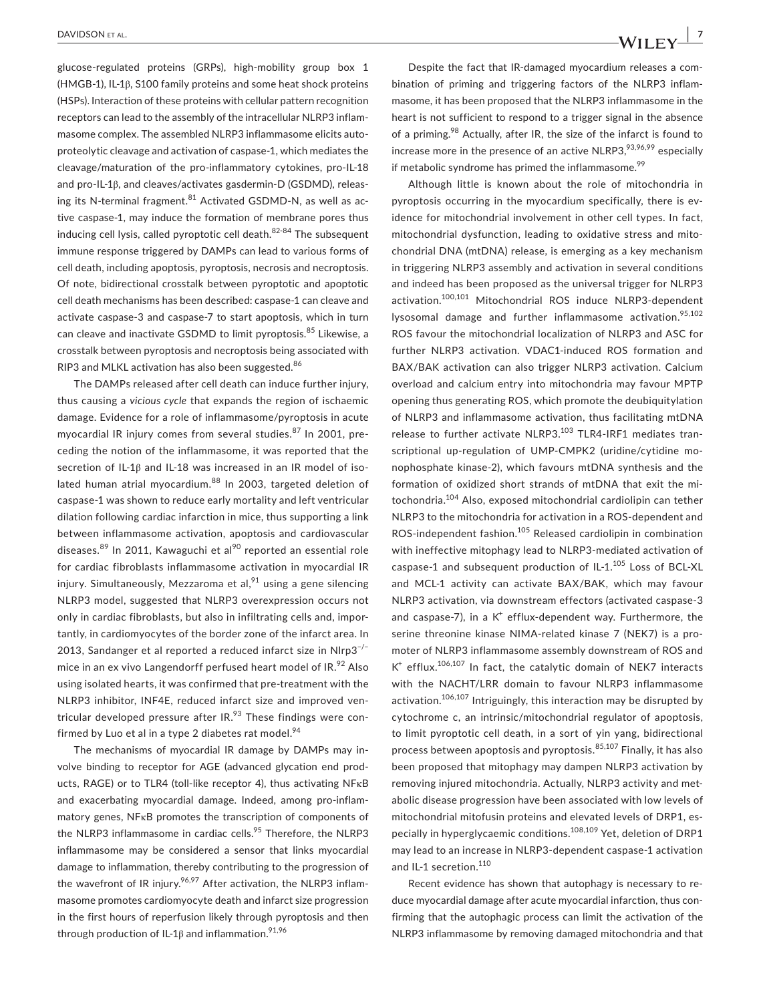glucose-regulated proteins (GRPs), high-mobility group box 1 (HMGB-1), IL-1β, S100 family proteins and some heat shock proteins (HSPs). Interaction of these proteins with cellular pattern recognition receptors can lead to the assembly of the intracellular NLRP3 inflammasome complex. The assembled NLRP3 inflammasome elicits autoproteolytic cleavage and activation of caspase-1, which mediates the cleavage/maturation of the pro-inflammatory cytokines, pro-IL-18 and pro-IL-1β, and cleaves/activates gasdermin-D (GSDMD), releasing its N-terminal fragment.<sup>81</sup> Activated GSDMD-N, as well as active caspase-1, may induce the formation of membrane pores thus inducing cell lysis, called pyroptotic cell death. $82-84$  The subsequent immune response triggered by DAMPs can lead to various forms of cell death, including apoptosis, pyroptosis, necrosis and necroptosis. Of note, bidirectional crosstalk between pyroptotic and apoptotic cell death mechanisms has been described: caspase-1 can cleave and activate caspase-3 and caspase-7 to start apoptosis, which in turn can cleave and inactivate GSDMD to limit pyroptosis.<sup>85</sup> Likewise, a crosstalk between pyroptosis and necroptosis being associated with RIP3 and MLKL activation has also been suggested.<sup>86</sup>

The DAMPs released after cell death can induce further injury, thus causing a *vicious cycle* that expands the region of ischaemic damage. Evidence for a role of inflammasome/pyroptosis in acute myocardial IR injury comes from several studies.<sup>87</sup> In 2001, preceding the notion of the inflammasome, it was reported that the secretion of IL-1β and IL-18 was increased in an IR model of isolated human atrial myocardium.<sup>88</sup> In 2003, targeted deletion of caspase-1 was shown to reduce early mortality and left ventricular dilation following cardiac infarction in mice, thus supporting a link between inflammasome activation, apoptosis and cardiovascular diseases.<sup>89</sup> In 2011, Kawaguchi et al<sup>90</sup> reported an essential role for cardiac fibroblasts inflammasome activation in myocardial IR injury. Simultaneously, Mezzaroma et al, $91$  using a gene silencing NLRP3 model, suggested that NLRP3 overexpression occurs not only in cardiac fibroblasts, but also in infiltrating cells and, importantly, in cardiomyocytes of the border zone of the infarct area. In 2013, Sandanger et al reported a reduced infarct size in Nlrp3<sup>-/-</sup> mice in an ex vivo Langendorff perfused heart model of  $IR.^{92}$  Also using isolated hearts, it was confirmed that pre-treatment with the NLRP3 inhibitor, INF4E, reduced infarct size and improved ventricular developed pressure after  $IR.^{93}$  These findings were confirmed by Luo et al in a type 2 diabetes rat model. $94$ 

The mechanisms of myocardial IR damage by DAMPs may involve binding to receptor for AGE (advanced glycation end products, RAGE) or to TLR4 (toll-like receptor 4), thus activating NFκB and exacerbating myocardial damage. Indeed, among pro-inflammatory genes, NFκB promotes the transcription of components of the NLRP3 inflammasome in cardiac cells.<sup>95</sup> Therefore, the NLRP3 inflammasome may be considered a sensor that links myocardial damage to inflammation, thereby contributing to the progression of the wavefront of IR injury. $96,97$  After activation, the NLRP3 inflammasome promotes cardiomyocyte death and infarct size progression in the first hours of reperfusion likely through pyroptosis and then through production of IL-1 $\beta$  and inflammation.<sup>91,96</sup>

Despite the fact that IR-damaged myocardium releases a combination of priming and triggering factors of the NLRP3 inflammasome, it has been proposed that the NLRP3 inflammasome in the heart is not sufficient to respond to a trigger signal in the absence of a priming.<sup>98</sup> Actually, after IR, the size of the infarct is found to increase more in the presence of an active NLRP3, 93,96,99 especially if metabolic syndrome has primed the inflammasome. $^{99}$ 

Although little is known about the role of mitochondria in pyroptosis occurring in the myocardium specifically, there is evidence for mitochondrial involvement in other cell types. In fact, mitochondrial dysfunction, leading to oxidative stress and mitochondrial DNA (mtDNA) release, is emerging as a key mechanism in triggering NLRP3 assembly and activation in several conditions and indeed has been proposed as the universal trigger for NLRP3 activation.100,101 Mitochondrial ROS induce NLRP3-dependent lysosomal damage and further inflammasome activation.<sup>95,102</sup> ROS favour the mitochondrial localization of NLRP3 and ASC for further NLRP3 activation. VDAC1-induced ROS formation and BAX/BAK activation can also trigger NLRP3 activation. Calcium overload and calcium entry into mitochondria may favour MPTP opening thus generating ROS, which promote the deubiquitylation of NLRP3 and inflammasome activation, thus facilitating mtDNA release to further activate NLRP3.<sup>103</sup> TLR4-IRF1 mediates transcriptional up-regulation of UMP-CMPK2 (uridine/cytidine monophosphate kinase-2), which favours mtDNA synthesis and the formation of oxidized short strands of mtDNA that exit the mitochondria.<sup>104</sup> Also, exposed mitochondrial cardiolipin can tether NLRP3 to the mitochondria for activation in a ROS-dependent and ROS-independent fashion.<sup>105</sup> Released cardiolipin in combination with ineffective mitophagy lead to NLRP3-mediated activation of caspase-1 and subsequent production of IL-1.<sup>105</sup> Loss of BCL-XL and MCL-1 activity can activate BAX/BAK, which may favour NLRP3 activation, via downstream effectors (activated caspase-3 and caspase-7), in a  $K^+$  efflux-dependent way. Furthermore, the serine threonine kinase NIMA-related kinase 7 (NEK7) is a promoter of NLRP3 inflammasome assembly downstream of ROS and K<sup>+</sup> efflux.<sup>106,107</sup> In fact, the catalytic domain of NEK7 interacts with the NACHT/LRR domain to favour NLRP3 inflammasome activation.106,107 Intriguingly, this interaction may be disrupted by cytochrome c, an intrinsic/mitochondrial regulator of apoptosis, to limit pyroptotic cell death, in a sort of yin yang, bidirectional process between apoptosis and pyroptosis.<sup>85,107</sup> Finally, it has also been proposed that mitophagy may dampen NLRP3 activation by removing injured mitochondria. Actually, NLRP3 activity and metabolic disease progression have been associated with low levels of mitochondrial mitofusin proteins and elevated levels of DRP1, especially in hyperglycaemic conditions.<sup>108,109</sup> Yet, deletion of DRP1 may lead to an increase in NLRP3-dependent caspase-1 activation and IL-1 secretion.<sup>110</sup>

Recent evidence has shown that autophagy is necessary to reduce myocardial damage after acute myocardial infarction, thus confirming that the autophagic process can limit the activation of the NLRP3 inflammasome by removing damaged mitochondria and that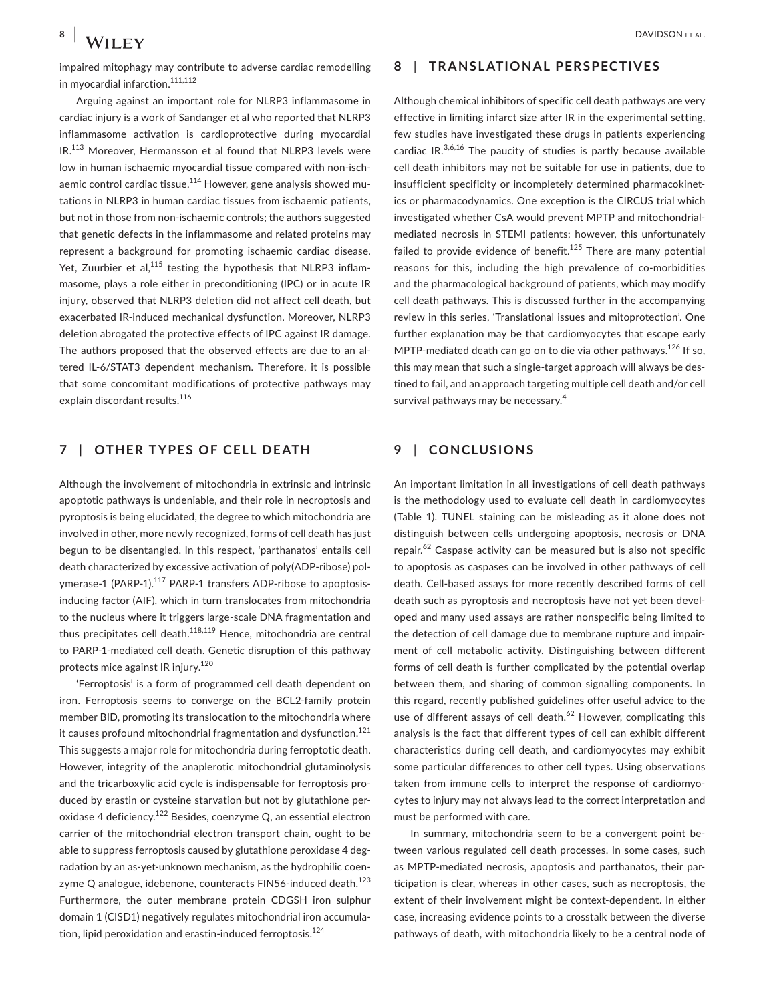impaired mitophagy may contribute to adverse cardiac remodelling in myocardial infarction.<sup>111,112</sup>

Arguing against an important role for NLRP3 inflammasome in cardiac injury is a work of Sandanger et al who reported that NLRP3 inflammasome activation is cardioprotective during myocardial IR.113 Moreover, Hermansson et al found that NLRP3 levels were low in human ischaemic myocardial tissue compared with non-ischaemic control cardiac tissue.<sup>114</sup> However, gene analysis showed mutations in NLRP3 in human cardiac tissues from ischaemic patients, but not in those from non-ischaemic controls; the authors suggested that genetic defects in the inflammasome and related proteins may represent a background for promoting ischaemic cardiac disease. Yet, Zuurbier et al,<sup>115</sup> testing the hypothesis that NLRP3 inflammasome, plays a role either in preconditioning (IPC) or in acute IR injury, observed that NLRP3 deletion did not affect cell death, but exacerbated IR-induced mechanical dysfunction. Moreover, NLRP3 deletion abrogated the protective effects of IPC against IR damage. The authors proposed that the observed effects are due to an altered IL-6/STAT3 dependent mechanism. Therefore, it is possible that some concomitant modifications of protective pathways may explain discordant results.<sup>116</sup>

#### **7** | **OTHER TYPES OF CELL DEATH**

Although the involvement of mitochondria in extrinsic and intrinsic apoptotic pathways is undeniable, and their role in necroptosis and pyroptosis is being elucidated, the degree to which mitochondria are involved in other, more newly recognized, forms of cell death has just begun to be disentangled. In this respect, 'parthanatos' entails cell death characterized by excessive activation of poly(ADP-ribose) polymerase-1 (PARP-1).<sup>117</sup> PARP-1 transfers ADP-ribose to apoptosisinducing factor (AIF), which in turn translocates from mitochondria to the nucleus where it triggers large-scale DNA fragmentation and thus precipitates cell death.<sup>118,119</sup> Hence, mitochondria are central to PARP-1-mediated cell death. Genetic disruption of this pathway protects mice against IR injury.<sup>120</sup>

'Ferroptosis' is a form of programmed cell death dependent on iron. Ferroptosis seems to converge on the BCL2-family protein member BID, promoting its translocation to the mitochondria where it causes profound mitochondrial fragmentation and dysfunction.<sup>121</sup> This suggests a major role for mitochondria during ferroptotic death. However, integrity of the anaplerotic mitochondrial glutaminolysis and the tricarboxylic acid cycle is indispensable for ferroptosis produced by erastin or cysteine starvation but not by glutathione peroxidase 4 deficiency.122 Besides, coenzyme Q, an essential electron carrier of the mitochondrial electron transport chain, ought to be able to suppress ferroptosis caused by glutathione peroxidase 4 degradation by an as-yet-unknown mechanism, as the hydrophilic coenzyme Q analogue, idebenone, counteracts FIN56-induced death.<sup>123</sup> Furthermore, the outer membrane protein CDGSH iron sulphur domain 1 (CISD1) negatively regulates mitochondrial iron accumulation, lipid peroxidation and erastin-induced ferroptosis.<sup>124</sup>

#### **8** | **TRANSLATIONAL PERSPECTIVES**

Although chemical inhibitors of specific cell death pathways are very effective in limiting infarct size after IR in the experimental setting, few studies have investigated these drugs in patients experiencing cardiac  $IR^{3,6,16}$  The paucity of studies is partly because available cell death inhibitors may not be suitable for use in patients, due to insufficient specificity or incompletely determined pharmacokinetics or pharmacodynamics. One exception is the CIRCUS trial which investigated whether CsA would prevent MPTP and mitochondrialmediated necrosis in STEMI patients; however, this unfortunately failed to provide evidence of benefit.<sup>125</sup> There are many potential reasons for this, including the high prevalence of co-morbidities and the pharmacological background of patients, which may modify cell death pathways. This is discussed further in the accompanying review in this series, 'Translational issues and mitoprotection'. One further explanation may be that cardiomyocytes that escape early MPTP-mediated death can go on to die via other pathways.<sup>126</sup> If so, this may mean that such a single-target approach will always be destined to fail, and an approach targeting multiple cell death and/or cell survival pathways may be necessary.<sup>4</sup>

#### **9** | **CONCLUSIONS**

An important limitation in all investigations of cell death pathways is the methodology used to evaluate cell death in cardiomyocytes (Table 1). TUNEL staining can be misleading as it alone does not distinguish between cells undergoing apoptosis, necrosis or DNA repair.<sup>62</sup> Caspase activity can be measured but is also not specific to apoptosis as caspases can be involved in other pathways of cell death. Cell-based assays for more recently described forms of cell death such as pyroptosis and necroptosis have not yet been developed and many used assays are rather nonspecific being limited to the detection of cell damage due to membrane rupture and impairment of cell metabolic activity. Distinguishing between different forms of cell death is further complicated by the potential overlap between them, and sharing of common signalling components. In this regard, recently published guidelines offer useful advice to the use of different assays of cell death.<sup>62</sup> However, complicating this analysis is the fact that different types of cell can exhibit different characteristics during cell death, and cardiomyocytes may exhibit some particular differences to other cell types. Using observations taken from immune cells to interpret the response of cardiomyocytes to injury may not always lead to the correct interpretation and must be performed with care.

In summary, mitochondria seem to be a convergent point between various regulated cell death processes. In some cases, such as MPTP-mediated necrosis, apoptosis and parthanatos, their participation is clear, whereas in other cases, such as necroptosis, the extent of their involvement might be context-dependent. In either case, increasing evidence points to a crosstalk between the diverse pathways of death, with mitochondria likely to be a central node of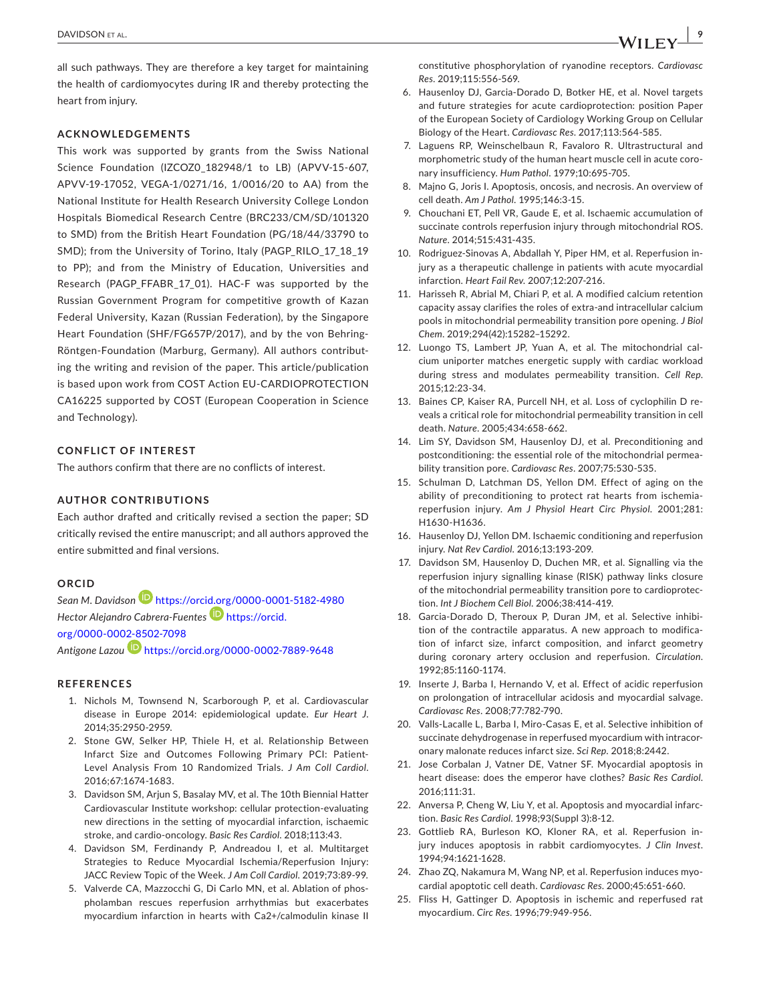all such pathways. They are therefore a key target for maintaining the health of cardiomyocytes during IR and thereby protecting the heart from injury.

#### **ACKNOWLEDGEMENTS**

This work was supported by grants from the Swiss National Science Foundation (IZCOZ0\_182948/1 to LB) (APVV-15-607, APVV-19-17052, VEGA-1/0271/16, 1/0016/20 to AA) from the National Institute for Health Research University College London Hospitals Biomedical Research Centre (BRC233/CM/SD/101320 to SMD) from the British Heart Foundation (PG/18/44/33790 to SMD); from the University of Torino, Italy (PAGP\_RILO\_17\_18\_19 to PP); and from the Ministry of Education, Universities and Research (PAGP\_FFABR\_17\_01). HAC-F was supported by the Russian Government Program for competitive growth of Kazan Federal University, Kazan (Russian Federation), by the Singapore Heart Foundation (SHF/FG657P/2017), and by the von Behring-Röntgen-Foundation (Marburg, Germany). All authors contributing the writing and revision of the paper. This article/publication is based upon work from COST Action EU-CARDIOPROTECTION CA16225 supported by COST (European Cooperation in Science and Technology).

#### **CONFLICT OF INTEREST**

The authors confirm that there are no conflicts of interest.

#### **AUTHOR CONTRIBUTIONS**

Each author drafted and critically revised a section the paper; SD critically revised the entire manuscript; and all authors approved the entire submitted and final versions.

#### **ORCID**

*Sean M. Davidson* <https://orcid.org/0000-0001-5182-4980> *Hector Alejandro Cabrera-Fuentes* [https://orcid.](https://orcid.org/0000-0002-8502-7098) [org/0000-0002-8502-7098](https://orcid.org/0000-0002-8502-7098)

*Antigone Lazou* <https://orcid.org/0000-0002-7889-9648>

#### **REFERENCES**

- 1. Nichols M, Townsend N, Scarborough P, et al. Cardiovascular disease in Europe 2014: epidemiological update. *Eur Heart J*. 2014;35:2950-2959.
- 2. Stone GW, Selker HP, Thiele H, et al. Relationship Between Infarct Size and Outcomes Following Primary PCI: Patient-Level Analysis From 10 Randomized Trials. *J Am Coll Cardiol*. 2016;67:1674-1683.
- 3. Davidson SM, Arjun S, Basalay MV, et al. The 10th Biennial Hatter Cardiovascular Institute workshop: cellular protection-evaluating new directions in the setting of myocardial infarction, ischaemic stroke, and cardio-oncology. *Basic Res Cardiol*. 2018;113:43.
- 4. Davidson SM, Ferdinandy P, Andreadou I, et al. Multitarget Strategies to Reduce Myocardial Ischemia/Reperfusion Injury: JACC Review Topic of the Week. *J Am Coll Cardiol*. 2019;73:89-99.
- 5. Valverde CA, Mazzocchi G, Di Carlo MN, et al. Ablation of phospholamban rescues reperfusion arrhythmias but exacerbates myocardium infarction in hearts with Ca2+/calmodulin kinase II

constitutive phosphorylation of ryanodine receptors. *Cardiovasc Res*. 2019;115:556-569.

- 6. Hausenloy DJ, Garcia-Dorado D, Botker HE, et al. Novel targets and future strategies for acute cardioprotection: position Paper of the European Society of Cardiology Working Group on Cellular Biology of the Heart. *Cardiovasc Res*. 2017;113:564-585.
- 7. Laguens RP, Weinschelbaun R, Favaloro R. Ultrastructural and morphometric study of the human heart muscle cell in acute coronary insufficiency. *Hum Pathol*. 1979;10:695-705.
- 8. Majno G, Joris I. Apoptosis, oncosis, and necrosis. An overview of cell death. *Am J Pathol*. 1995;146:3-15.
- 9. Chouchani ET, Pell VR, Gaude E, et al. Ischaemic accumulation of succinate controls reperfusion injury through mitochondrial ROS. *Nature*. 2014;515:431-435.
- 10. Rodriguez-Sinovas A, Abdallah Y, Piper HM, et al. Reperfusion injury as a therapeutic challenge in patients with acute myocardial infarction. *Heart Fail Rev*. 2007;12:207-216.
- 11. Harisseh R, Abrial M, Chiari P, et al. A modified calcium retention capacity assay clarifies the roles of extra-and intracellular calcium pools in mitochondrial permeability transition pore opening. *J Biol Chem*. 2019;294(42):15282–15292.
- 12. Luongo TS, Lambert JP, Yuan A, et al. The mitochondrial calcium uniporter matches energetic supply with cardiac workload during stress and modulates permeability transition. *Cell Rep*. 2015;12:23-34.
- 13. Baines CP, Kaiser RA, Purcell NH, et al. Loss of cyclophilin D reveals a critical role for mitochondrial permeability transition in cell death. *Nature*. 2005;434:658-662.
- 14. Lim SY, Davidson SM, Hausenloy DJ, et al. Preconditioning and postconditioning: the essential role of the mitochondrial permeability transition pore. *Cardiovasc Res*. 2007;75:530-535.
- 15. Schulman D, Latchman DS, Yellon DM. Effect of aging on the ability of preconditioning to protect rat hearts from ischemiareperfusion injury. *Am J Physiol Heart Circ Physiol*. 2001;281: H1630-H1636.
- 16. Hausenloy DJ, Yellon DM. Ischaemic conditioning and reperfusion injury. *Nat Rev Cardiol*. 2016;13:193-209.
- 17. Davidson SM, Hausenloy D, Duchen MR, et al. Signalling via the reperfusion injury signalling kinase (RISK) pathway links closure of the mitochondrial permeability transition pore to cardioprotection. *Int J Biochem Cell Biol*. 2006;38:414-419.
- 18. Garcia-Dorado D, Theroux P, Duran JM, et al. Selective inhibition of the contractile apparatus. A new approach to modification of infarct size, infarct composition, and infarct geometry during coronary artery occlusion and reperfusion. *Circulation*. 1992;85:1160-1174.
- 19. Inserte J, Barba I, Hernando V, et al. Effect of acidic reperfusion on prolongation of intracellular acidosis and myocardial salvage. *Cardiovasc Res*. 2008;77:782-790.
- 20. Valls-Lacalle L, Barba I, Miro-Casas E, et al. Selective inhibition of succinate dehydrogenase in reperfused myocardium with intracoronary malonate reduces infarct size. *Sci Rep*. 2018;8:2442.
- 21. Jose Corbalan J, Vatner DE, Vatner SF. Myocardial apoptosis in heart disease: does the emperor have clothes? *Basic Res Cardiol*. 2016;111:31.
- 22. Anversa P, Cheng W, Liu Y, et al. Apoptosis and myocardial infarction. *Basic Res Cardiol*. 1998;93(Suppl 3):8-12.
- 23. Gottlieb RA, Burleson KO, Kloner RA, et al. Reperfusion injury induces apoptosis in rabbit cardiomyocytes. *J Clin Invest*. 1994;94:1621-1628.
- 24. Zhao ZQ, Nakamura M, Wang NP, et al. Reperfusion induces myocardial apoptotic cell death. *Cardiovasc Res*. 2000;45:651-660.
- 25. Fliss H, Gattinger D. Apoptosis in ischemic and reperfused rat myocardium. *Circ Res*. 1996;79:949-956.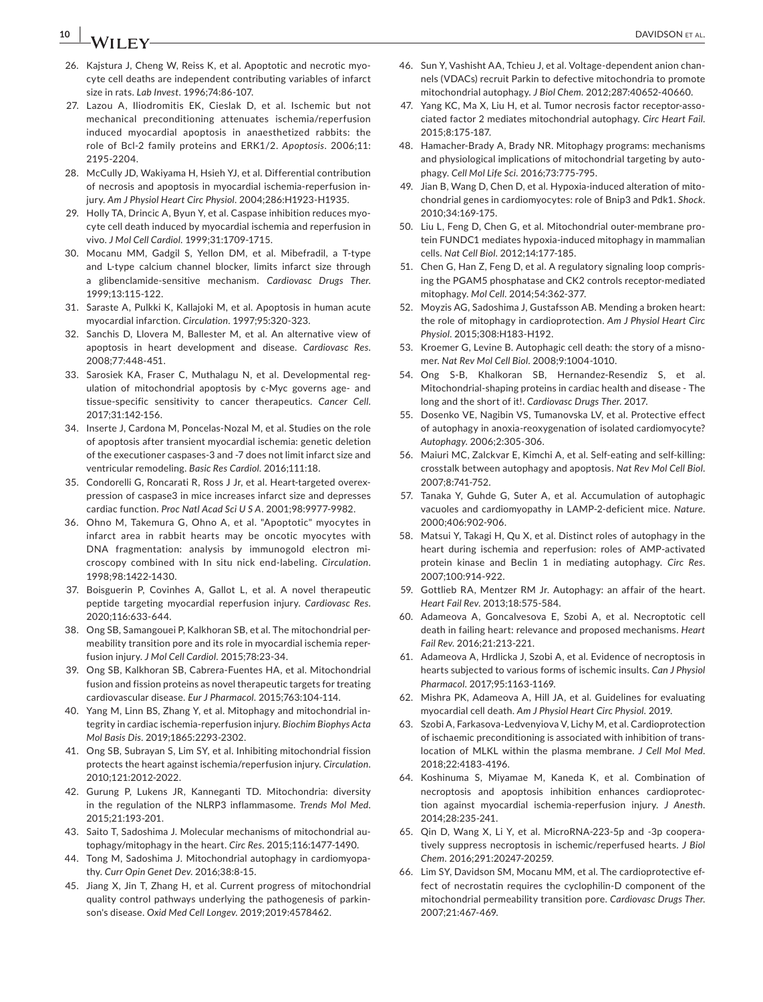# **10 |**  DAVIDSON et al.

- 26. Kajstura J, Cheng W, Reiss K, et al. Apoptotic and necrotic myocyte cell deaths are independent contributing variables of infarct size in rats. *Lab Invest*. 1996;74:86-107.
- 27. Lazou A, Iliodromitis EK, Cieslak D, et al. Ischemic but not mechanical preconditioning attenuates ischemia/reperfusion induced myocardial apoptosis in anaesthetized rabbits: the role of Bcl-2 family proteins and ERK1/2. *Apoptosis*. 2006;11: 2195-2204.
- 28. McCully JD, Wakiyama H, Hsieh YJ, et al. Differential contribution of necrosis and apoptosis in myocardial ischemia-reperfusion injury. *Am J Physiol Heart Circ Physiol*. 2004;286:H1923-H1935.
- 29. Holly TA, Drincic A, Byun Y, et al. Caspase inhibition reduces myocyte cell death induced by myocardial ischemia and reperfusion in vivo. *J Mol Cell Cardiol*. 1999;31:1709-1715.
- 30. Mocanu MM, Gadgil S, Yellon DM, et al. Mibefradil, a T-type and L-type calcium channel blocker, limits infarct size through a glibenclamide-sensitive mechanism. *Cardiovasc Drugs Ther*. 1999;13:115-122.
- 31. Saraste A, Pulkki K, Kallajoki M, et al. Apoptosis in human acute myocardial infarction. *Circulation*. 1997;95:320-323.
- 32. Sanchis D, Llovera M, Ballester M, et al. An alternative view of apoptosis in heart development and disease. *Cardiovasc Res*. 2008;77:448-451.
- 33. Sarosiek KA, Fraser C, Muthalagu N, et al. Developmental regulation of mitochondrial apoptosis by c-Myc governs age- and tissue-specific sensitivity to cancer therapeutics. *Cancer Cell*. 2017;31:142-156.
- 34. Inserte J, Cardona M, Poncelas-Nozal M, et al. Studies on the role of apoptosis after transient myocardial ischemia: genetic deletion of the executioner caspases-3 and -7 does not limit infarct size and ventricular remodeling. *Basic Res Cardiol*. 2016;111:18.
- 35. Condorelli G, Roncarati R, Ross J Jr, et al. Heart-targeted overexpression of caspase3 in mice increases infarct size and depresses cardiac function. *Proc Natl Acad Sci U S A*. 2001;98:9977-9982.
- 36. Ohno M, Takemura G, Ohno A, et al. "Apoptotic" myocytes in infarct area in rabbit hearts may be oncotic myocytes with DNA fragmentation: analysis by immunogold electron microscopy combined with In situ nick end-labeling. *Circulation*. 1998;98:1422-1430.
- 37. Boisguerin P, Covinhes A, Gallot L, et al. A novel therapeutic peptide targeting myocardial reperfusion injury. *Cardiovasc Res*. 2020;116:633-644.
- 38. Ong SB, Samangouei P, Kalkhoran SB, et al. The mitochondrial permeability transition pore and its role in myocardial ischemia reperfusion injury. *J Mol Cell Cardiol*. 2015;78:23-34.
- 39. Ong SB, Kalkhoran SB, Cabrera-Fuentes HA, et al. Mitochondrial fusion and fission proteins as novel therapeutic targets for treating cardiovascular disease. *Eur J Pharmacol*. 2015;763:104-114.
- 40. Yang M, Linn BS, Zhang Y, et al. Mitophagy and mitochondrial integrity in cardiac ischemia-reperfusion injury. *Biochim Biophys Acta Mol Basis Dis*. 2019;1865:2293-2302.
- 41. Ong SB, Subrayan S, Lim SY, et al. Inhibiting mitochondrial fission protects the heart against ischemia/reperfusion injury. *Circulation*. 2010;121:2012-2022.
- 42. Gurung P, Lukens JR, Kanneganti TD. Mitochondria: diversity in the regulation of the NLRP3 inflammasome. *Trends Mol Med*. 2015;21:193-201.
- 43. Saito T, Sadoshima J. Molecular mechanisms of mitochondrial autophagy/mitophagy in the heart. *Circ Res*. 2015;116:1477-1490.
- 44. Tong M, Sadoshima J. Mitochondrial autophagy in cardiomyopathy. *Curr Opin Genet Dev*. 2016;38:8-15.
- 45. Jiang X, Jin T, Zhang H, et al. Current progress of mitochondrial quality control pathways underlying the pathogenesis of parkinson's disease. *Oxid Med Cell Longev*. 2019;2019:4578462.
- 46. Sun Y, Vashisht AA, Tchieu J, et al. Voltage-dependent anion channels (VDACs) recruit Parkin to defective mitochondria to promote mitochondrial autophagy. *J Biol Chem*. 2012;287:40652-40660.
- 47. Yang KC, Ma X, Liu H, et al. Tumor necrosis factor receptor-associated factor 2 mediates mitochondrial autophagy. *Circ Heart Fail*. 2015;8:175-187.
- 48. Hamacher-Brady A, Brady NR. Mitophagy programs: mechanisms and physiological implications of mitochondrial targeting by autophagy. *Cell Mol Life Sci*. 2016;73:775-795.
- 49. Jian B, Wang D, Chen D, et al. Hypoxia-induced alteration of mitochondrial genes in cardiomyocytes: role of Bnip3 and Pdk1. *Shock*. 2010;34:169-175.
- 50. Liu L, Feng D, Chen G, et al. Mitochondrial outer-membrane protein FUNDC1 mediates hypoxia-induced mitophagy in mammalian cells. *Nat Cell Biol*. 2012;14:177-185.
- 51. Chen G, Han Z, Feng D, et al. A regulatory signaling loop comprising the PGAM5 phosphatase and CK2 controls receptor-mediated mitophagy. *Mol Cell*. 2014;54:362-377.
- 52. Moyzis AG, Sadoshima J, Gustafsson AB. Mending a broken heart: the role of mitophagy in cardioprotection. *Am J Physiol Heart Circ Physiol*. 2015;308:H183-H192.
- 53. Kroemer G, Levine B. Autophagic cell death: the story of a misnomer. *Nat Rev Mol Cell Biol*. 2008;9:1004-1010.
- 54. Ong S-B, Khalkoran SB, Hernandez-Resendiz S, et al. Mitochondrial-shaping proteins in cardiac health and disease - The long and the short of it!. *Cardiovasc Drugs Ther*. 2017.
- 55. Dosenko VE, Nagibin VS, Tumanovska LV, et al. Protective effect of autophagy in anoxia-reoxygenation of isolated cardiomyocyte? *Autophagy*. 2006;2:305-306.
- 56. Maiuri MC, Zalckvar E, Kimchi A, et al. Self-eating and self-killing: crosstalk between autophagy and apoptosis. *Nat Rev Mol Cell Biol*. 2007;8:741-752.
- 57. Tanaka Y, Guhde G, Suter A, et al. Accumulation of autophagic vacuoles and cardiomyopathy in LAMP-2-deficient mice. *Nature*. 2000;406:902-906.
- 58. Matsui Y, Takagi H, Qu X, et al. Distinct roles of autophagy in the heart during ischemia and reperfusion: roles of AMP-activated protein kinase and Beclin 1 in mediating autophagy. *Circ Res*. 2007;100:914-922.
- 59. Gottlieb RA, Mentzer RM Jr. Autophagy: an affair of the heart. *Heart Fail Rev*. 2013;18:575-584.
- 60. Adameova A, Goncalvesova E, Szobi A, et al. Necroptotic cell death in failing heart: relevance and proposed mechanisms. *Heart Fail Rev*. 2016;21:213-221.
- 61. Adameova A, Hrdlicka J, Szobi A, et al. Evidence of necroptosis in hearts subjected to various forms of ischemic insults. *Can J Physiol Pharmacol*. 2017;95:1163-1169.
- 62. Mishra PK, Adameova A, Hill JA, et al. Guidelines for evaluating myocardial cell death. *Am J Physiol Heart Circ Physiol*. 2019.
- 63. Szobi A, Farkasova-Ledvenyiova V, Lichy M, et al. Cardioprotection of ischaemic preconditioning is associated with inhibition of translocation of MLKL within the plasma membrane. *J Cell Mol Med*. 2018;22:4183-4196.
- 64. Koshinuma S, Miyamae M, Kaneda K, et al. Combination of necroptosis and apoptosis inhibition enhances cardioprotection against myocardial ischemia-reperfusion injury. *J Anesth*. 2014;28:235-241.
- 65. Qin D, Wang X, Li Y, et al. MicroRNA-223-5p and -3p cooperatively suppress necroptosis in ischemic/reperfused hearts. *J Biol Chem*. 2016;291:20247-20259.
- 66. Lim SY, Davidson SM, Mocanu MM, et al. The cardioprotective effect of necrostatin requires the cyclophilin-D component of the mitochondrial permeability transition pore. *Cardiovasc Drugs Ther*. 2007;21:467-469.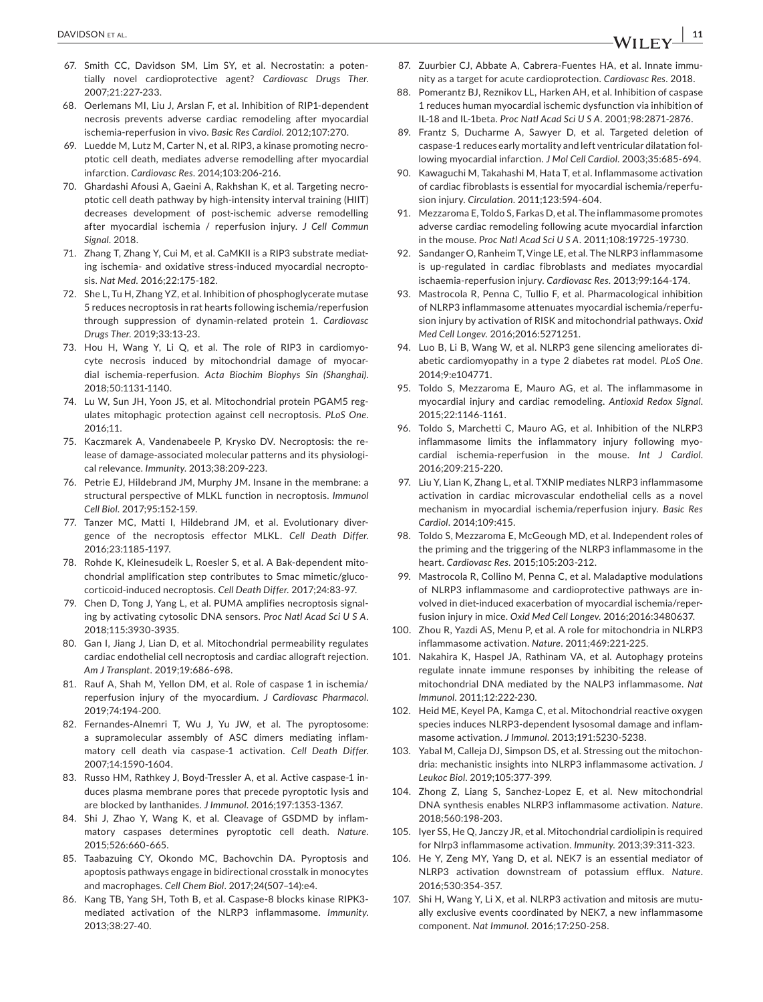- 67. Smith CC, Davidson SM, Lim SY, et al. Necrostatin: a potentially novel cardioprotective agent? *Cardiovasc Drugs Ther*. 2007;21:227-233.
- 68. Oerlemans MI, Liu J, Arslan F, et al. Inhibition of RIP1-dependent necrosis prevents adverse cardiac remodeling after myocardial ischemia-reperfusion in vivo. *Basic Res Cardiol*. 2012;107:270.
- 69. Luedde M, Lutz M, Carter N, et al. RIP3, a kinase promoting necroptotic cell death, mediates adverse remodelling after myocardial infarction. *Cardiovasc Res*. 2014;103:206-216.
- 70. Ghardashi Afousi A, Gaeini A, Rakhshan K, et al. Targeting necroptotic cell death pathway by high-intensity interval training (HIIT) decreases development of post-ischemic adverse remodelling after myocardial ischemia / reperfusion injury. *J Cell Commun Signal*. 2018.
- 71. Zhang T, Zhang Y, Cui M, et al. CaMKII is a RIP3 substrate mediating ischemia- and oxidative stress-induced myocardial necroptosis. *Nat Med*. 2016;22:175-182.
- 72. She L, Tu H, Zhang YZ, et al. Inhibition of phosphoglycerate mutase 5 reduces necroptosis in rat hearts following ischemia/reperfusion through suppression of dynamin-related protein 1. *Cardiovasc Drugs Ther*. 2019;33:13-23.
- 73. Hou H, Wang Y, Li Q, et al. The role of RIP3 in cardiomyocyte necrosis induced by mitochondrial damage of myocardial ischemia-reperfusion. *Acta Biochim Biophys Sin (Shanghai)*. 2018;50:1131-1140.
- 74. Lu W, Sun JH, Yoon JS, et al. Mitochondrial protein PGAM5 regulates mitophagic protection against cell necroptosis. *PLoS One*. 2016;11.
- 75. Kaczmarek A, Vandenabeele P, Krysko DV. Necroptosis: the release of damage-associated molecular patterns and its physiological relevance. *Immunity*. 2013;38:209-223.
- 76. Petrie EJ, Hildebrand JM, Murphy JM. Insane in the membrane: a structural perspective of MLKL function in necroptosis. *Immunol Cell Biol*. 2017;95:152-159.
- 77. Tanzer MC, Matti I, Hildebrand JM, et al. Evolutionary divergence of the necroptosis effector MLKL. *Cell Death Differ*. 2016;23:1185-1197.
- 78. Rohde K, Kleinesudeik L, Roesler S, et al. A Bak-dependent mitochondrial amplification step contributes to Smac mimetic/glucocorticoid-induced necroptosis. *Cell Death Differ*. 2017;24:83-97.
- 79. Chen D, Tong J, Yang L, et al. PUMA amplifies necroptosis signaling by activating cytosolic DNA sensors. *Proc Natl Acad Sci U S A*. 2018;115:3930-3935.
- 80. Gan I, Jiang J, Lian D, et al. Mitochondrial permeability regulates cardiac endothelial cell necroptosis and cardiac allograft rejection. *Am J Transplant*. 2019;19:686-698.
- 81. Rauf A, Shah M, Yellon DM, et al. Role of caspase 1 in ischemia/ reperfusion injury of the myocardium. *J Cardiovasc Pharmacol*. 2019;74:194-200.
- 82. Fernandes-Alnemri T, Wu J, Yu JW, et al. The pyroptosome: a supramolecular assembly of ASC dimers mediating inflammatory cell death via caspase-1 activation. *Cell Death Differ*. 2007;14:1590-1604.
- 83. Russo HM, Rathkey J, Boyd-Tressler A, et al. Active caspase-1 induces plasma membrane pores that precede pyroptotic lysis and are blocked by lanthanides. *J Immunol*. 2016;197:1353-1367.
- 84. Shi J, Zhao Y, Wang K, et al. Cleavage of GSDMD by inflammatory caspases determines pyroptotic cell death. *Nature*. 2015;526:660-665.
- 85. Taabazuing CY, Okondo MC, Bachovchin DA. Pyroptosis and apoptosis pathways engage in bidirectional crosstalk in monocytes and macrophages. *Cell Chem Biol*. 2017;24(507–14):e4.
- 86. Kang TB, Yang SH, Toth B, et al. Caspase-8 blocks kinase RIPK3 mediated activation of the NLRP3 inflammasome. *Immunity*. 2013;38:27-40.
- 87. Zuurbier CJ, Abbate A, Cabrera-Fuentes HA, et al. Innate immunity as a target for acute cardioprotection. *Cardiovasc Res*. 2018.
- 88. Pomerantz BJ, Reznikov LL, Harken AH, et al. Inhibition of caspase 1 reduces human myocardial ischemic dysfunction via inhibition of IL-18 and IL-1beta. *Proc Natl Acad Sci U S A*. 2001;98:2871-2876.
- 89. Frantz S, Ducharme A, Sawyer D, et al. Targeted deletion of caspase-1 reduces early mortality and left ventricular dilatation following myocardial infarction. *J Mol Cell Cardiol*. 2003;35:685-694.
- 90. Kawaguchi M, Takahashi M, Hata T, et al. Inflammasome activation of cardiac fibroblasts is essential for myocardial ischemia/reperfusion injury. *Circulation*. 2011;123:594-604.
- 91. Mezzaroma E, Toldo S, Farkas D, et al. The inflammasome promotes adverse cardiac remodeling following acute myocardial infarction in the mouse. *Proc Natl Acad Sci U S A*. 2011;108:19725-19730.
- 92. Sandanger O, Ranheim T, Vinge LE, et al. The NLRP3 inflammasome is up-regulated in cardiac fibroblasts and mediates myocardial ischaemia-reperfusion injury. *Cardiovasc Res*. 2013;99:164-174.
- 93. Mastrocola R, Penna C, Tullio F, et al. Pharmacological inhibition of NLRP3 inflammasome attenuates myocardial ischemia/reperfusion injury by activation of RISK and mitochondrial pathways. *Oxid Med Cell Longev*. 2016;2016:5271251.
- 94. Luo B, Li B, Wang W, et al. NLRP3 gene silencing ameliorates diabetic cardiomyopathy in a type 2 diabetes rat model. *PLoS One*. 2014;9:e104771.
- 95. Toldo S, Mezzaroma E, Mauro AG, et al. The inflammasome in myocardial injury and cardiac remodeling. *Antioxid Redox Signal*. 2015;22:1146-1161.
- 96. Toldo S, Marchetti C, Mauro AG, et al. Inhibition of the NLRP3 inflammasome limits the inflammatory injury following myocardial ischemia-reperfusion in the mouse. *Int J Cardiol*. 2016;209:215-220.
- 97. Liu Y, Lian K, Zhang L, et al. TXNIP mediates NLRP3 inflammasome activation in cardiac microvascular endothelial cells as a novel mechanism in myocardial ischemia/reperfusion injury. *Basic Res Cardiol*. 2014;109:415.
- 98. Toldo S, Mezzaroma E, McGeough MD, et al. Independent roles of the priming and the triggering of the NLRP3 inflammasome in the heart. *Cardiovasc Res*. 2015;105:203-212.
- 99. Mastrocola R, Collino M, Penna C, et al. Maladaptive modulations of NLRP3 inflammasome and cardioprotective pathways are involved in diet-induced exacerbation of myocardial ischemia/reperfusion injury in mice. *Oxid Med Cell Longev*. 2016;2016:3480637.
- 100. Zhou R, Yazdi AS, Menu P, et al. A role for mitochondria in NLRP3 inflammasome activation. *Nature*. 2011;469:221-225.
- 101. Nakahira K, Haspel JA, Rathinam VA, et al. Autophagy proteins regulate innate immune responses by inhibiting the release of mitochondrial DNA mediated by the NALP3 inflammasome. *Nat Immunol*. 2011;12:222-230.
- 102. Heid ME, Keyel PA, Kamga C, et al. Mitochondrial reactive oxygen species induces NLRP3-dependent lysosomal damage and inflammasome activation. *J Immunol*. 2013;191:5230-5238.
- 103. Yabal M, Calleja DJ, Simpson DS, et al. Stressing out the mitochondria: mechanistic insights into NLRP3 inflammasome activation. *J Leukoc Biol*. 2019;105:377-399.
- 104. Zhong Z, Liang S, Sanchez-Lopez E, et al. New mitochondrial DNA synthesis enables NLRP3 inflammasome activation. *Nature*. 2018;560:198-203.
- 105. Iyer SS, He Q, Janczy JR, et al. Mitochondrial cardiolipin is required for Nlrp3 inflammasome activation. *Immunity*. 2013;39:311-323.
- 106. He Y, Zeng MY, Yang D, et al. NEK7 is an essential mediator of NLRP3 activation downstream of potassium efflux. *Nature*. 2016;530:354-357.
- 107. Shi H, Wang Y, Li X, et al. NLRP3 activation and mitosis are mutually exclusive events coordinated by NEK7, a new inflammasome component. *Nat Immunol*. 2016;17:250-258.